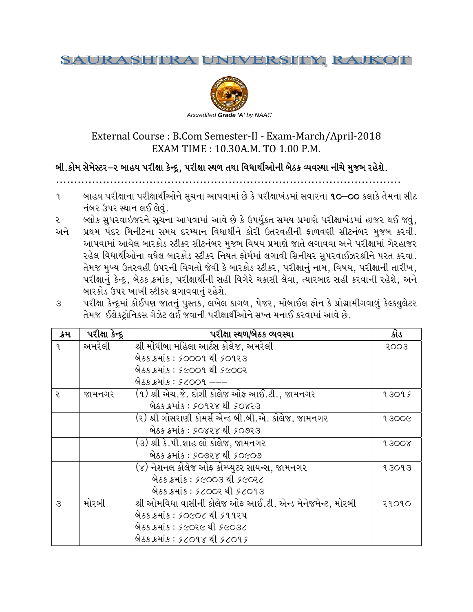#### SAURASH ERSITY, RAJKOT RA.



# External Course : B.Com Semester-II - Exam-March/April-2018 EXAM TIME : 10.30A.M. TO 1.00 P.M.

## બી.કોમ સેમેસ્ટર–ર બાહય પરીક્ષા કેન્દ્ર, પરીક્ષા સ્થળ તથા વિધાર્થીઓની બેઠક વ્યવસ્થા નીચે મુજબ રહેશે.

. . . . . . . . . . . . . . . . . . . . . . . . . . . . . . . . . . . . . . . . . . . . . . . . . . . . . . . . . . . . . . . . . . . . . . . . . . . . . . . . . . . . . . . . . P

- ૧ બાહય પરીક્ષાના પરીક્ષાર્થીઓને સૂચના આપવામાં છે કે પરીક્ષાખંડમાં સવારના <u>૧૦–૦૦</u> કલાકે તેમના સીટ નંબર ઉપર સ્થાન લઈ લેવું.
- ૨ બ્લોક સુપરવાઇજરને સૂચના આપવામાં આવે છે કે ઉપર્યુકત સમય પ્રમાણે પરીક્ષાખંડમાં હાજર થઈ જવું,
- અને આપવામાં આવેલ બારકોડ સ્ટીકર સીટનંબર મુજબ વિષય પ્રમાણે જાતે લગાવવા અને પરીક્ષામાં ગેરહાજર રહેલ વિધાર્થીઓના વધેલ બારકોડ સ્ટીકર નિયત ફોર્મમાં લગાવી સિનીયર સુપરવાઈઝરશ્રીને પરત કરવા. તેમજ મુખ્ય ઉતરવહી ઉપરની વિગતો જેવી કે બારકોડ સ્ટીકર, પરીક્ષાનું નામ, વિષય, પરીક્ષાની તારીખ, પરીક્ષાનું કેન્દ્ર, બેઠક ક્રમાંક, પરીક્ષાર્થીની સહી વિગેરે ચકાસી લેવા, ત્યારબાદ સહી કરવાની રહેશે, અને બારકોડ ઉપર ખાખી સ્ટીકર લગાવવાનું રહેશે. પ્રથમ પંદર મિનીટના સમય દરમ્યાન વિધાર્થીને કોરી ઉતરવહીની ફાળવણી સીટનંબર મુજબ કરવી.
- ૩ પરીક્ષા કેન્દ્રમાં કોઈપણ જાતનું પુસ્તક, લખેલ કાગળ, પેજર, મોબાઈલ ફોન કે પ્રોગ્રામીગવાળું કેલ્કયુલેટર T[ TDH .,[S8=MlG lGS; U[h[8 ,. . HJFGL 5ZL 1FFYL"VMG[ ;b bT DGF. SZJ JFDF\ VFJ[ K[P

| ક્રમ          | પરીક્ષા કેન્દ્ર | પરીક્ષા સ્થળ/બેઠક વ્યવસ્થા                                | કોડ   |
|---------------|-----------------|-----------------------------------------------------------|-------|
| 9             | અમરેલી          | શ્રી મોંઘીબા મહિલા આર્ટસ કોલેજ, અમરેલી                    | 2003  |
|               |                 | બેઠક ક્રમાંક : 50009 થી 50923                             |       |
|               |                 | બેઠક ક્રમાંક : ۶૯૦૦૧ થી ۶૯૦૦૨                             |       |
|               |                 | બેઠક ક્રમાંક : ۶૮૦૦૧ –––                                  |       |
| ર             | જામનગર          | (૧) શ્રી એચ.જે. દોશી કોલેજ ઓફ આઈ.ટી., જામનગર              | 93095 |
|               |                 | બેઠક ક્રમાંક : ૬૦૧૨૪ થી ૬૦૪૨૩                             |       |
|               |                 | (૨) શ્રી ગોસરાણી કોમર્સ એન્ડ બી.બી.એ. કોલેજ, જામનગર       | 93006 |
|               |                 | <u> બેઠક ક્રમાંક: SOXZX થી SOOZ3</u>                      |       |
|               |                 | (૩) શ્રી કે.પી.શાહ લો કોલેજ, જામનગર                       | 9300  |
|               |                 | બેઠક ક્રમાંક : ૬૦૭૨૪ થી ૬૦૯૦૭                             |       |
|               |                 | (૪) નેશનલ કોલેજ ઓફ કોમ્પ્યુટર સાયન્સ, જામનગર              | 93093 |
|               |                 | બેઠક ક્રમાંક : ۶૯૦૦૩ થી ૬૯૦૨૮                             |       |
|               |                 | બેઠક ક્રમાંક : ૬૮૦૦૨ થી ૬૮૦૧૩                             |       |
| $\mathcal{S}$ | મોરબી           | શ્રી ઓમવિધા વાસીની કોલેજ ઓફ આઈ.ટી. એન્ડ મેનેજમેન્ટ, મોરબી | २१०१० |
|               |                 | બેઠક ક્રમાંક : ૬૦૯૦૮ થી ૬૧૧૨૫                             |       |
|               |                 | બેઠક ક્રમાંક : ૬૯૦૨૯ થી ૬૯૦૩૮                             |       |
|               |                 | બેઠક ક્રમાંક : ૬૮૦૧૪ થી ૬૮૦૧૬                             |       |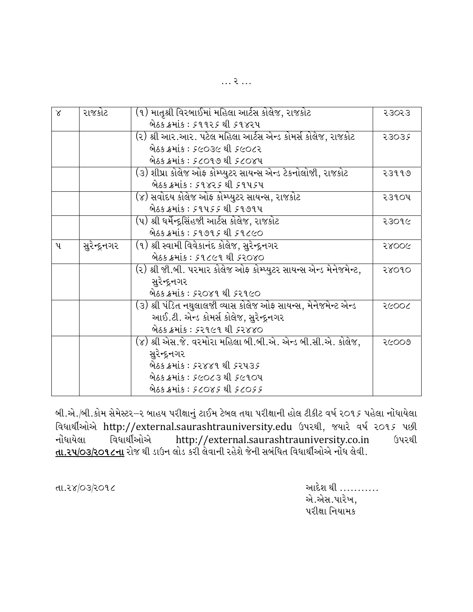|  | . . |  |  |
|--|-----|--|--|
|  |     |  |  |

| $\times$     | રાજકોટ       | (૧) માતૃશ્રી વિરબાઈમાં મહિલા આર્ટસ કોલેજ, રાજકોટ                  | २३०२३ |
|--------------|--------------|-------------------------------------------------------------------|-------|
|              |              | બેઠક ક્રમાંક : ૬૧૧૨૬ થી ૬૧૪૨૫                                     |       |
|              |              |                                                                   |       |
|              |              | (૨) શ્રી આર.આર. પટેલ મહિલા આર્ટસ એન્ડ કોમર્સ કોલેજ, રાજકોટ        | 53032 |
|              |              | બેઠક ક્રમાંક : ૬૯૦૩૯ થી ૬૯૦૮૨                                     |       |
|              |              | બેઠક ક્રમાંક : ૬૮૦૧૭ થી ૬૮૦૪૫                                     |       |
|              |              | (૩) શીપ્રા કોલેજ ઓફ કોમ્પ્યુટર સાયન્સ એન્ડ ટેકનોલોજી, રાજકોટ      | २३११७ |
|              |              | બેઠક ક્રમાંક : ૬૧૪૨૬ થી ૬૧૫૬૫                                     |       |
|              |              | (૪) સવોદય કોલેજ ઓફ કોમ્પ્યુટર સાયન્સ, રાજકોટ                      | २३१०५ |
|              |              | બેઠક ક્રમાંક : ૬૧૫૬૬ થી ૬૧૭૧૫                                     |       |
|              |              | (૫) શ્રી ધર્મેન્દ્રસિંહજી આર્ટસ કોલેજ, રાજકોટ                     | २३०१૯ |
|              |              | બેઠક ક્રમાંક : ૬૧૭૧૬ થી ૬૧૮૯૦                                     |       |
| $\mathbf{u}$ | સુરેન્દ્રનગર | (૧) શ્રી સ્વામી વિવેકાનંદ કોલેજ, સુરેન્દ્રનગર                     | 58006 |
|              |              | લેઠક ક્રમાંક : ૬૧૮૯૧ થી ૬૨૦૪૦                                     |       |
|              |              | (૨) શ્રી જી.બી. પરમાર કોલેજ ઓફ કોમ્પ્યુટર સાયન્સ એન્ડ મેનેજમેન્ટ, | २४०१० |
|              |              | સુરેન્દ્રનગર                                                      |       |
|              |              | બેઠક ક્રમાંક : ૬૨૦૪૧ થી ૬૨૧૯૦                                     |       |
|              |              | (૩) શ્રી પંડિત નથુલાલજી વ્યાસ કોલેજ ઓફ સાયન્સ, મેનેજમેન્ટ એન્ડ    | २८००८ |
|              |              | આઈ.ટી. એન્ડ કોમર્સ કોલેજ, સુરેન્દ્રનગર                            |       |
|              |              | બેઠક ક્રમાંક : ૬૨૧૯૧ થી ૬૨૪૪૦                                     |       |
|              |              | (૪) શ્રી એસ.જે. વરમોરા મહિલા બી.બી.એ. એન્ડ બી.સી.એ. કોલેજ,        | २૯००७ |
|              |              | સુરેન્દ્રનગર                                                      |       |
|              |              | બેઠક ક્રમાંક : ૬૨૪૪૧ થી ૬૨૫૩૬                                     |       |
|              |              | બેઠક ક્રમાંક : ૬૯૦૮૩ થી ૬૯૧૦૫                                     |       |
|              |              | 92055 Mis: 52085 el 52055                                         |       |

બી.એ./બી.કોમ સેમેસ્ટર–૨ બાહય પરીક્ષાનું ટાઈમ ટેબલ તથા પરીક્ષાની હોલ ટીકીટ વર્ષ ૨૦૧૬ પહેલા નોંધાયેલા વિધાર્થીઓએ http://external.saurashtrauniversity.edu ઉપરથી, જયારે વર્ષ ૨૦૧૬ પછી નોંધાયેલા વિધાર્થીઓએ http://external.saurashtrauniversity.co.in ઉપરથી **તા.૨૫/૦૩/૨૦૧૮ના** રોજ થી ડાઉન લોડ કરી લેવાની રહેશે જેની સબંધિત વિધાર્થીઓએ નોંધ લેવી.

તા.૨४/**03/૨**૦૧૮

આદેશ થી .......... એ.એસ.પારેખ, પરીક્ષા નિયામક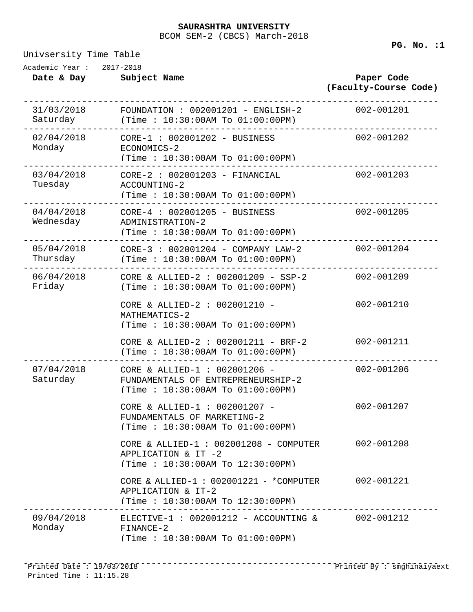### BCOM SEM-2 (CBCS) March-2018 **SAURASHTRA UNIVERSITY**

Univsersity Time Table

**Date & Day Subject Name Paper Code (Faculty-Course Code)** Academic Year : 2017-2018 31/03/2018 ------------------------------------------------------------------------------ Saturday  $F$ OUNDATION : 002001201 - ENGLISH-2 (Time : 10:30:00AM To 01:00:00PM) 02/04/2018 ------------------------------------------------------------------------------ Monday  $CORE-1 : 002001202 - BUSINESS$ ECONOMICS-2 (Time : 10:30:00AM To 01:00:00PM) 03/04/2018 ------------------------------------------------------------------------------ CORE-2 : 002001203 - FINANCIAL 002-001203 Tuesday ACCOUNTING-2 (Time : 10:30:00AM To 01:00:00PM) 04/04/2018 ------------------------------------------------------------------------------ Wednesday  $CORE-4 : 002001205 - BUSINESS$ ADMINISTRATION-2 (Time : 10:30:00AM To 01:00:00PM) 05/04/2018 ------------------------------------------------------------------------------ CORE-3 : 002001204 - COMPANY LAW-2 002-001204 Thursday (Time : 10:30:00AM To 01:00:00PM) 06/04/2018 ------------------------------------------------------------------------------ Friday  $CORE & ALLIED-2 : 002001209 - SSP-2$ (Time : 10:30:00AM To 01:00:00PM) CORE & ALLIED-2 : 002001210 - 002-001210 MATHEMATICS-2 (Time : 10:30:00AM To 01:00:00PM) CORE & ALLIED-2 : 002001211 - BRF-2 002-001211 (Time : 10:30:00AM To 01:00:00PM) 07/04/2018 ------------------------------------------------------------------------------ Saturday CORE & ALLIED- $1:002001206 -$ FUNDAMENTALS OF ENTREPRENEURSHIP-2 (Time : 10:30:00AM To 01:00:00PM) CORE & ALLIED-1 : 002001207 - 002-001207 FUNDAMENTALS OF MARKETING-2 (Time : 10:30:00AM To 01:00:00PM) CORE & ALLIED-1 : 002001208 - COMPUTER 002-001208 APPLICATION & IT -2 (Time : 10:30:00AM To 12:30:00PM) CORE & ALLIED-1 : 002001221 - \*COMPUTER 002-001221 APPLICATION & IT-2 (Time : 10:30:00AM To 12:30:00PM) 09/04/2018 ------------------------------------------------------------------------------ ELECTIVE-1 : 002001212 - ACCOUNTING & 002-001212 Monday FINANCE-2 (Time : 10:30:00AM To 01:00:00PM)

------------------------------------------------------------------------------ Printed Date : 19/03/2018 Printed By : smghinaiyaextPrinted Time : 11:15.28

**PG. No. :1**